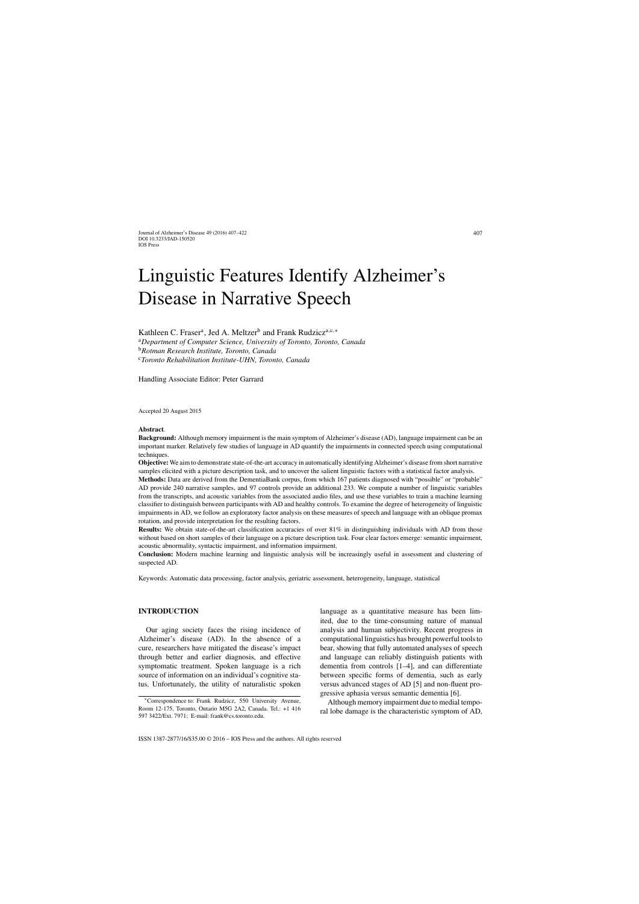# Linguistic Features Identify Alzheimer's Disease in Narrative Speech

Kathleen C. Fraser<sup>a</sup>, Jed A. Meltzer<sup>b</sup> and Frank Rudzicz<sup>a,c,</sup>\*

<sup>a</sup>*Department of Computer Science, University of Toronto, Toronto, Canada* <sup>b</sup>*Rotman Research Institute, Toronto, Canada* <sup>c</sup>*Toronto Rehabilitation Institute-UHN, Toronto, Canada*

Handling Associate Editor: Peter Garrard

Accepted 20 August 2015

#### **Abstract**.

**Background:** Although memory impairment is the main symptom of Alzheimer's disease (AD), language impairment can be an important marker. Relatively few studies of language in AD quantify the impairments in connected speech using computational techniques.

**Objective:** We aim to demonstrate state-of-the-art accuracy in automatically identifying Alzheimer's disease from short narrative samples elicited with a picture description task, and to uncover the salient linguistic factors with a statistical factor analysis. **Methods:** Data are derived from the DementiaBank corpus, from which 167 patients diagnosed with "possible" or "probable" AD provide 240 narrative samples, and 97 controls provide an additional 233. We compute a number of linguistic variables from the transcripts, and acoustic variables from the associated audio files, and use these variables to train a machine learning classifier to distinguish between participants with AD and healthy controls. To examine the degree of heterogeneity of linguistic impairments in AD, we follow an exploratory factor analysis on these measures of speech and language with an oblique promax

**Results:** We obtain state-of-the-art classification accuracies of over 81% in distinguishing individuals with AD from those without based on short samples of their language on a picture description task. Four clear factors emerge: semantic impairment, acoustic abnormality, syntactic impairment, and information impairment.

**Conclusion:** Modern machine learning and linguistic analysis will be increasingly useful in assessment and clustering of suspected AD.

Keywords: Automatic data processing, factor analysis, geriatric assessment, heterogeneity, language, statistical

# **INTRODUCTION**

Our aging society faces the rising incidence of Alzheimer's disease (AD). In the absence of a cure, researchers have mitigated the disease's impact through better and earlier diagnosis, and effective symptomatic treatment. Spoken language is a rich source of information on an individual's cognitive status. Unfortunately, the utility of naturalistic spoken

rotation, and provide interpretation for the resulting factors.

language as a quantitative measure has been limited, due to the time-consuming nature of manual analysis and human subjectivity. Recent progress in computational linguistics has brought powerful tools to bear, showing that fully automated analyses of speech and language can reliably distinguish patients with dementia from controls [1–4], and can differentiate between specific forms of dementia, such as early versus advanced stages of AD [5] and non-fluent progressive aphasia versus semantic dementia [6].

Although memory impairment due to medial temporal lobe damage is the characteristic symptom of AD,

<sup>∗</sup>Correspondence to: Frank Rudzicz, 550 University Avenue, Room 12-175, Toronto, Ontario M5G 2A2, Canada. Tel.: +1 416 597 3422/Ext. 7971; E-mail: [frank@cs.toronto.edu](mailto:frank@cs.toronto.edu).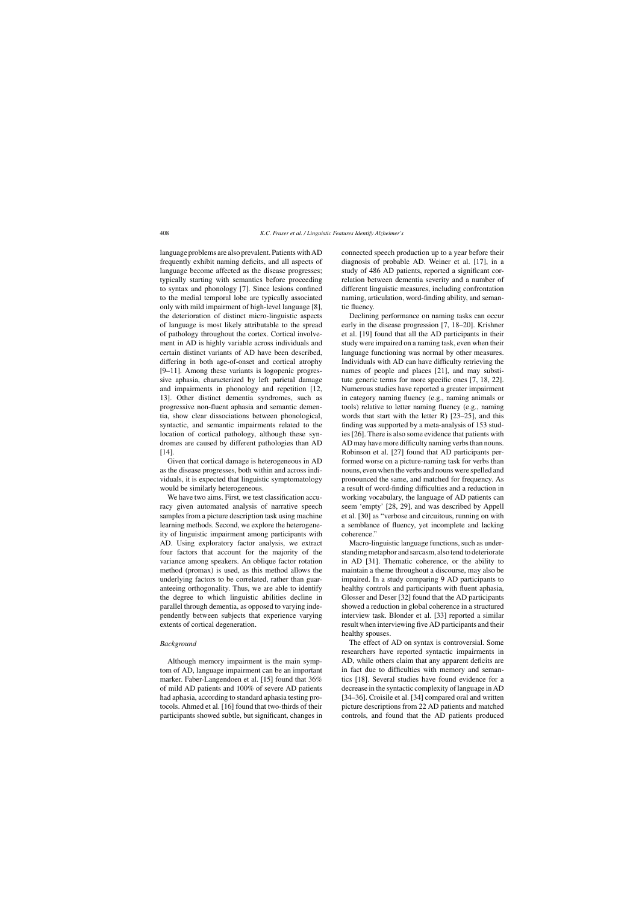language problems are also prevalent. Patients with AD frequently exhibit naming deficits, and all aspects of language become affected as the disease progresses; typically starting with semantics before proceeding to syntax and phonology [7]. Since lesions confined to the medial temporal lobe are typically associated only with mild impairment of high-level language [8], the deterioration of distinct micro-linguistic aspects of language is most likely attributable to the spread of pathology throughout the cortex. Cortical involvement in AD is highly variable across individuals and certain distinct variants of AD have been described, differing in both age-of-onset and cortical atrophy [9–11]. Among these variants is logopenic progressive aphasia, characterized by left parietal damage and impairments in phonology and repetition [12, 13]. Other distinct dementia syndromes, such as progressive non-fluent aphasia and semantic dementia, show clear dissociations between phonological, syntactic, and semantic impairments related to the location of cortical pathology, although these syndromes are caused by different pathologies than AD [14].

Given that cortical damage is heterogeneous in AD as the disease progresses, both within and across individuals, it is expected that linguistic symptomatology would be similarly heterogeneous.

We have two aims. First, we test classification accuracy given automated analysis of narrative speech samples from a picture description task using machine learning methods. Second, we explore the heterogeneity of linguistic impairment among participants with AD. Using exploratory factor analysis, we extract four factors that account for the majority of the variance among speakers. An oblique factor rotation method (promax) is used, as this method allows the underlying factors to be correlated, rather than guaranteeing orthogonality. Thus, we are able to identify the degree to which linguistic abilities decline in parallel through dementia, as opposed to varying independently between subjects that experience varying extents of cortical degeneration.

#### *Background*

Although memory impairment is the main symptom of AD, language impairment can be an important marker. Faber-Langendoen et al. [15] found that 36% of mild AD patients and 100% of severe AD patients had aphasia, according to standard aphasia testing protocols. Ahmed et al. [16] found that two-thirds of their participants showed subtle, but significant, changes in connected speech production up to a year before their diagnosis of probable AD. Weiner et al. [17], in a study of 486 AD patients, reported a significant correlation between dementia severity and a number of different linguistic measures, including confrontation naming, articulation, word-finding ability, and semantic fluency.

Declining performance on naming tasks can occur early in the disease progression [7, 18–20]. Krishner et al. [19] found that all the AD participants in their study were impaired on a naming task, even when their language functioning was normal by other measures. Individuals with AD can have difficulty retrieving the names of people and places [21], and may substitute generic terms for more specific ones [7, 18, 22]. Numerous studies have reported a greater impairment in category naming fluency (e.g., naming animals or tools) relative to letter naming fluency (e.g., naming words that start with the letter R) [23–25], and this finding was supported by a meta-analysis of 153 studies [26]. There is also some evidence that patients with AD may have more difficulty naming verbs than nouns. Robinson et al. [27] found that AD participants performed worse on a picture-naming task for verbs than nouns, even when the verbs and nouns were spelled and pronounced the same, and matched for frequency. As a result of word-finding difficulties and a reduction in working vocabulary, the language of AD patients can seem 'empty' [28, 29], and was described by Appell et al. [30] as "verbose and circuitous, running on with a semblance of fluency, yet incomplete and lacking coherence."

Macro-linguistic language functions, such as understanding metaphor and sarcasm, also tend to deteriorate in AD [31]. Thematic coherence, or the ability to maintain a theme throughout a discourse, may also be impaired. In a study comparing 9 AD participants to healthy controls and participants with fluent aphasia, Glosser and Deser [32] found that the AD participants showed a reduction in global coherence in a structured interview task. Blonder et al. [33] reported a similar result when interviewing five AD participants and their healthy spouses.

The effect of AD on syntax is controversial. Some researchers have reported syntactic impairments in AD, while others claim that any apparent deficits are in fact due to difficulties with memory and semantics [18]. Several studies have found evidence for a decrease in the syntactic complexity of language in AD [34–36]. Croisile et al. [34] compared oral and written picture descriptions from 22 AD patients and matched controls, and found that the AD patients produced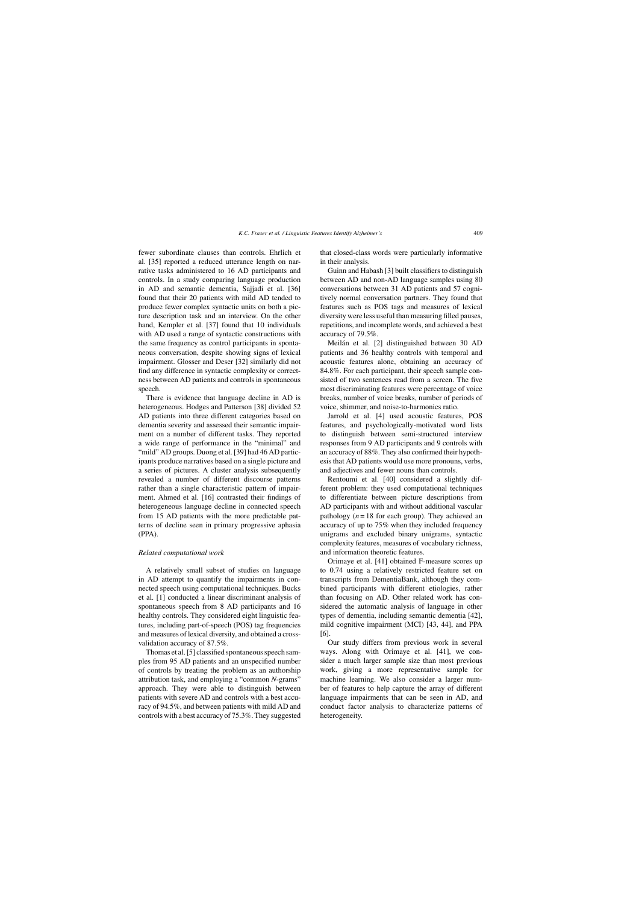fewer subordinate clauses than controls. Ehrlich et al. [35] reported a reduced utterance length on narrative tasks administered to 16 AD participants and controls. In a study comparing language production in AD and semantic dementia, Sajjadi et al. [36] found that their 20 patients with mild AD tended to produce fewer complex syntactic units on both a picture description task and an interview. On the other hand, Kempler et al. [37] found that 10 individuals with AD used a range of syntactic constructions with the same frequency as control participants in spontaneous conversation, despite showing signs of lexical impairment. Glosser and Deser [32] similarly did not find any difference in syntactic complexity or correctness between AD patients and controls in spontaneous speech.

There is evidence that language decline in AD is heterogeneous. Hodges and Patterson [38] divided 52 AD patients into three different categories based on dementia severity and assessed their semantic impairment on a number of different tasks. They reported a wide range of performance in the "minimal" and "mild" AD groups. Duong et al. [39] had 46 AD participants produce narratives based on a single picture and a series of pictures. A cluster analysis subsequently revealed a number of different discourse patterns rather than a single characteristic pattern of impairment. Ahmed et al. [16] contrasted their findings of heterogeneous language decline in connected speech from 15 AD patients with the more predictable patterns of decline seen in primary progressive aphasia (PPA).

#### *Related computational work*

A relatively small subset of studies on language in AD attempt to quantify the impairments in connected speech using computational techniques. Bucks et al. [1] conducted a linear discriminant analysis of spontaneous speech from 8 AD participants and 16 healthy controls. They considered eight linguistic features, including part-of-speech (POS) tag frequencies and measures of lexical diversity, and obtained a crossvalidation accuracy of 87.5%.

Thomas et al. [5] classified spontaneous speech samples from 95 AD patients and an unspecified number of controls by treating the problem as an authorship attribution task, and employing a "common *N*-grams" approach. They were able to distinguish between patients with severe AD and controls with a best accuracy of 94.5%, and between patients with mild AD and controls with a best accuracy of 75.3%. They suggested

that closed-class words were particularly informative in their analysis.

Guinn and Habash [3] built classifiers to distinguish between AD and non-AD language samples using 80 conversations between 31 AD patients and 57 cognitively normal conversation partners. They found that features such as POS tags and measures of lexical diversity were less useful than measuring filled pauses, repetitions, and incomplete words, and achieved a best accuracy of 79.5%.

Meilán et al. [2] distinguished between 30 AD patients and 36 healthy controls with temporal and acoustic features alone, obtaining an accuracy of 84.8%. For each participant, their speech sample consisted of two sentences read from a screen. The five most discriminating features were percentage of voice breaks, number of voice breaks, number of periods of voice, shimmer, and noise-to-harmonics ratio.

Jarrold et al. [4] used acoustic features, POS features, and psychologically-motivated word lists to distinguish between semi-structured interview responses from 9 AD participants and 9 controls with an accuracy of 88%. They also confirmed their hypothesis that AD patients would use more pronouns, verbs, and adjectives and fewer nouns than controls.

Rentoumi et al. [40] considered a slightly different problem: they used computational techniques to differentiate between picture descriptions from AD participants with and without additional vascular pathology  $(n = 18$  for each group). They achieved an accuracy of up to 75% when they included frequency unigrams and excluded binary unigrams, syntactic complexity features, measures of vocabulary richness, and information theoretic features.

Orimaye et al. [41] obtained F-measure scores up to 0.74 using a relatively restricted feature set on transcripts from DementiaBank, although they combined participants with different etiologies, rather than focusing on AD. Other related work has considered the automatic analysis of language in other types of dementia, including semantic dementia [42], mild cognitive impairment (MCI) [43, 44], and PPA [6].

Our study differs from previous work in several ways. Along with Orimaye et al. [41], we consider a much larger sample size than most previous work, giving a more representative sample for machine learning. We also consider a larger number of features to help capture the array of different language impairments that can be seen in AD, and conduct factor analysis to characterize patterns of heterogeneity.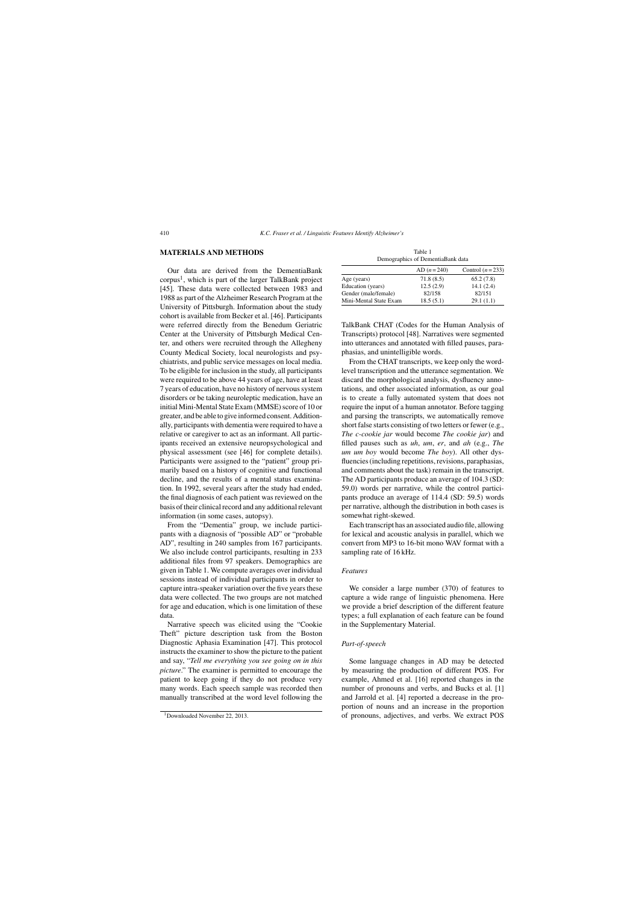# **MATERIALS AND METHODS**

Our data are derived from the DementiaBank  $corpus<sup>1</sup>$ , which is part of the larger TalkBank project [45]. These data were collected between 1983 and 1988 as part of the Alzheimer Research Program at the University of Pittsburgh. Information about the study cohort is available from Becker et al. [46]. Participants were referred directly from the Benedum Geriatric Center at the University of Pittsburgh Medical Center, and others were recruited through the Allegheny County Medical Society, local neurologists and psychiatrists, and public service messages on local media. To be eligible for inclusion in the study, all participants were required to be above 44 years of age, have at least 7 years of education, have no history of nervous system disorders or be taking neuroleptic medication, have an initial Mini-Mental State Exam (MMSE) score of 10 or greater, and be able to give informed consent. Additionally, participants with dementia were required to have a relative or caregiver to act as an informant. All participants received an extensive neuropsychological and physical assessment (see [46] for complete details). Participants were assigned to the "patient" group primarily based on a history of cognitive and functional decline, and the results of a mental status examination. In 1992, several years after the study had ended, the final diagnosis of each patient was reviewed on the basis of their clinical record and any additional relevant information (in some cases, autopsy).

From the "Dementia" group, we include participants with a diagnosis of "possible AD" or "probable AD", resulting in 240 samples from 167 participants. We also include control participants, resulting in 233 additional files from 97 speakers. Demographics are given in Table 1. We compute averages over individual sessions instead of individual participants in order to capture intra-speaker variation over the five years these data were collected. The two groups are not matched for age and education, which is one limitation of these data.

Narrative speech was elicited using the "Cookie Theft" picture description task from the Boston Diagnostic Aphasia Examination [47]. This protocol instructs the examiner to show the picture to the patient and say, "*Tell me everything you see going on in this picture*." The examiner is permitted to encourage the patient to keep going if they do not produce very many words. Each speech sample was recorded then manually transcribed at the word level following the

| Table 1                           |  |
|-----------------------------------|--|
| Demographics of DementiaBank data |  |

|                        | AD $(n=240)$ | Control $(n=233)$ |
|------------------------|--------------|-------------------|
| Age (years)            | 71.8(8.5)    | 65.2(7.8)         |
| Education (years)      | 12.5(2.9)    | 14.1(2.4)         |
| Gender (male/female)   | 82/158       | 82/151            |
| Mini-Mental State Exam | 18.5(5.1)    | 29.1(1.1)         |

TalkBank CHAT (Codes for the Human Analysis of Transcripts) protocol [48]. Narratives were segmented into utterances and annotated with filled pauses, paraphasias, and unintelligible words.

From the CHAT transcripts, we keep only the wordlevel transcription and the utterance segmentation. We discard the morphological analysis, dysfluency annotations, and other associated information, as our goal is to create a fully automated system that does not require the input of a human annotator. Before tagging and parsing the transcripts, we automatically remove short false starts consisting of two letters or fewer (e.g., *The c-cookie jar* would become *The cookie jar*) and filled pauses such as *uh*, *um*, *er*, and *ah* (e.g., *The um um boy* would become *The boy*). All other dysfluencies (including repetitions, revisions, paraphasias, and comments about the task) remain in the transcript. The AD participants produce an average of 104.3 (SD: 59.0) words per narrative, while the control participants produce an average of 114.4 (SD: 59.5) words per narrative, although the distribution in both cases is somewhat right-skewed.

Each transcript has an associated audio file, allowing for lexical and acoustic analysis in parallel, which we convert from MP3 to 16-bit mono WAV format with a sampling rate of 16 kHz.

#### *Features*

We consider a large number (370) of features to capture a wide range of linguistic phenomena. Here we provide a brief description of the different feature types; a full explanation of each feature can be found in the Supplementary Material.

#### *Part-of-speech*

Some language changes in AD may be detected by measuring the production of different POS. For example, Ahmed et al. [16] reported changes in the number of pronouns and verbs, and Bucks et al. [1] and Jarrold et al. [4] reported a decrease in the proportion of nouns and an increase in the proportion of pronouns, adjectives, and verbs. We extract POS

<sup>&</sup>lt;sup>1</sup>Downloaded November 22, 2013.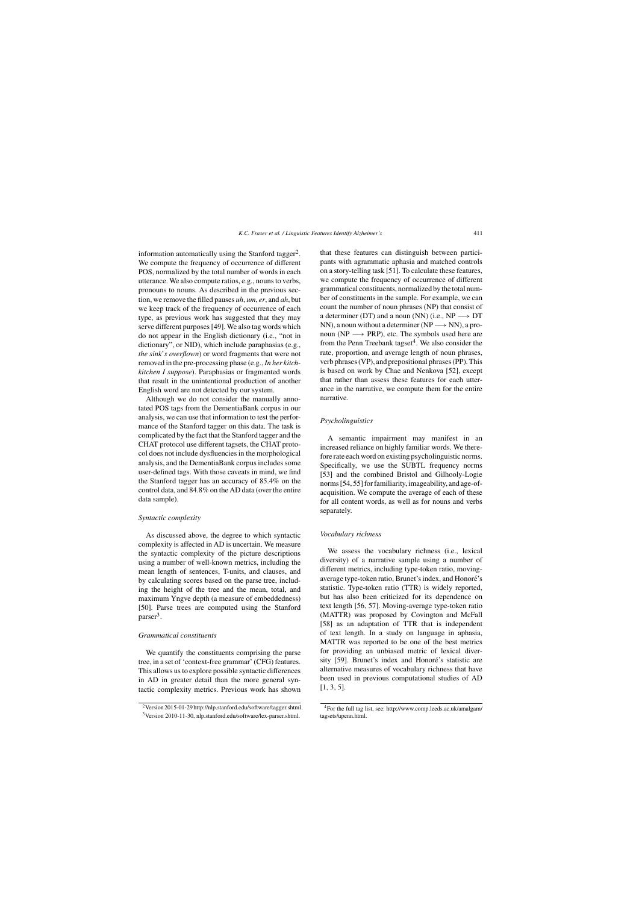information automatically using the Stanford tagger<sup>2</sup>. We compute the frequency of occurrence of different POS, normalized by the total number of words in each utterance. We also compute ratios, e.g., nouns to verbs, pronouns to nouns. As described in the previous section, we remove the filled pauses *uh*, *um*, *er*, and *ah*, but we keep track of the frequency of occurrence of each type, as previous work has suggested that they may serve different purposes [49]. We also tag words which do not appear in the English dictionary (i.e., "not in dictionary", or NID), which include paraphasias (e.g., *the sink*'*s overflown*) or word fragments that were not removed in the pre-processing phase (e.g., *In her kitchkitchen I suppose*). Paraphasias or fragmented words that result in the unintentional production of another English word are not detected by our system.

Although we do not consider the manually annotated POS tags from the DementiaBank corpus in our analysis, we can use that information to test the performance of the Stanford tagger on this data. The task is complicated by the fact that the Stanford tagger and the CHAT protocol use different tagsets, the CHAT protocol does not include dysfluencies in the morphological analysis, and the DementiaBank corpus includes some user-defined tags. With those caveats in mind, we find the Stanford tagger has an accuracy of 85.4% on the control data, and 84.8% on the AD data (over the entire data sample).

## *Syntactic complexity*

As discussed above, the degree to which syntactic complexity is affected in AD is uncertain. We measure the syntactic complexity of the picture descriptions using a number of well-known metrics, including the mean length of sentences, T-units, and clauses, and by calculating scores based on the parse tree, including the height of the tree and the mean, total, and maximum Yngve depth (a measure of embeddedness) [50]. Parse trees are computed using the Stanford parser3.

## *Grammatical constituents*

We quantify the constituents comprising the parse tree, in a set of 'context-free grammar' (CFG) features. This allows us to explore possible syntactic differences in AD in greater detail than the more general syntactic complexity metrics. Previous work has shown that these features can distinguish between participants with agrammatic aphasia and matched controls on a story-telling task [51]. To calculate these features, we compute the frequency of occurrence of different grammatical constituents, normalized by the total number of constituents in the sample. For example, we can count the number of noun phrases (NP) that consist of a determiner (DT) and a noun (NN) (i.e.,  $NP \rightarrow DT$ NN), a noun without a determiner ( $NP \longrightarrow NN$ ), a pronoun ( $NP \rightarrow PRP$ ), etc. The symbols used here are from the Penn Treebank tagset<sup>4</sup>. We also consider the rate, proportion, and average length of noun phrases, verb phrases (VP), and prepositional phrases (PP). This is based on work by Chae and Nenkova [52], except that rather than assess these features for each utterance in the narrative, we compute them for the entire narrative.

## *Psycholinguistics*

A semantic impairment may manifest in an increased reliance on highly familiar words. We therefore rate each word on existing psycholinguistic norms. Specifically, we use the SUBTL frequency norms [53] and the combined Bristol and Gilhooly-Logie norms [54, 55] for familiarity, imageability, and age-ofacquisition. We compute the average of each of these for all content words, as well as for nouns and verbs separately.

#### *Vocabulary richness*

We assess the vocabulary richness (i.e., lexical diversity) of a narrative sample using a number of different metrics, including type-token ratio, movingaverage type-token ratio, Brunet's index, and Honoré's statistic. Type-token ratio (TTR) is widely reported, but has also been criticized for its dependence on text length [56, 57]. Moving-average type-token ratio (MATTR) was proposed by Covington and McFall [58] as an adaptation of TTR that is independent of text length. In a study on language in aphasia, MATTR was reported to be one of the best metrics for providing an unbiased metric of lexical diversity [59]. Brunet's index and Honoré's statistic are alternative measures of vocabulary richness that have been used in previous computational studies of AD [1, 3, 5].

<sup>2</sup>Version 2015-01-29<http://nlp.stanford.edu/software/tagger.shtml>. 3Version 2010-11-30, [nlp.stanford.edu/software/lex-parser.shtml.](nlp.stanford.edu/software/lex-parser.shtml)

<sup>4</sup>For the full tag list, see: [http://www.comp.leeds.ac.uk/amalgam/](http://www.comp.leeds.ac.uk/amalgam/tagsets/upenn.html) tagsets/upenn.html.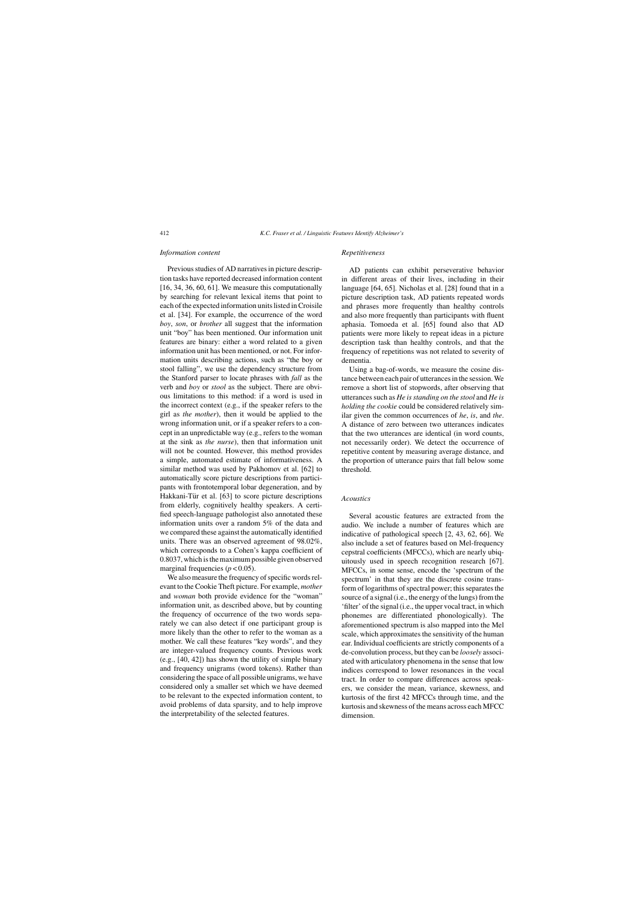## *Information content*

Previous studies of AD narratives in picture description tasks have reported decreased information content  $[16, 34, 36, 60, 61]$ . We measure this computationally by searching for relevant lexical items that point to each of the expected information units listed in Croisile et al. [34]. For example, the occurrence of the word *boy*, *son*, or *brother* all suggest that the information unit "boy" has been mentioned. Our information unit features are binary: either a word related to a given information unit has been mentioned, or not. For information units describing actions, such as "the boy or stool falling", we use the dependency structure from the Stanford parser to locate phrases with *fall* as the verb and *boy* or *stool* as the subject. There are obvious limitations to this method: if a word is used in the incorrect context (e.g., if the speaker refers to the girl as *the mother*), then it would be applied to the wrong information unit, or if a speaker refers to a concept in an unpredictable way (e.g., refers to the woman at the sink as *the nurse*), then that information unit will not be counted. However, this method provides a simple, automated estimate of informativeness. A similar method was used by Pakhomov et al. [62] to automatically score picture descriptions from participants with frontotemporal lobar degeneration, and by Hakkani-Tür et al. [63] to score picture descriptions from elderly, cognitively healthy speakers. A certified speech-language pathologist also annotated these information units over a random 5% of the data and we compared these against the automatically identified units. There was an observed agreement of 98.02%, which corresponds to a Cohen's kappa coefficient of 0.8037, which is the maximum possible given observed marginal frequencies  $(p < 0.05)$ .

We also measure the frequency of specific words relevant to the Cookie Theft picture. For example, *mother* and *woman* both provide evidence for the "woman" information unit, as described above, but by counting the frequency of occurrence of the two words separately we can also detect if one participant group is more likely than the other to refer to the woman as a mother. We call these features "key words", and they are integer-valued frequency counts. Previous work (e.g., [40, 42]) has shown the utility of simple binary and frequency unigrams (word tokens). Rather than considering the space of all possible unigrams, we have considered only a smaller set which we have deemed to be relevant to the expected information content, to avoid problems of data sparsity, and to help improve the interpretability of the selected features.

# *Repetitiveness*

AD patients can exhibit perseverative behavior in different areas of their lives, including in their language [64, 65]. Nicholas et al. [28] found that in a picture description task, AD patients repeated words and phrases more frequently than healthy controls and also more frequently than participants with fluent aphasia. Tomoeda et al. [65] found also that AD patients were more likely to repeat ideas in a picture description task than healthy controls, and that the frequency of repetitions was not related to severity of dementia.

Using a bag-of-words, we measure the cosine distance between each pair of utterances in the session. We remove a short list of stopwords, after observing that utterances such as *He is standing on the stool* and *He is holding the cookie* could be considered relatively similar given the common occurrences of *he*, *is*, and *the*. A distance of zero between two utterances indicates that the two utterances are identical (in word counts, not necessarily order). We detect the occurrence of repetitive content by measuring average distance, and the proportion of utterance pairs that fall below some threshold.

#### *Acoustics*

Several acoustic features are extracted from the audio. We include a number of features which are indicative of pathological speech [2, 43, 62, 66]. We also include a set of features based on Mel-frequency cepstral coefficients (MFCCs), which are nearly ubiquitously used in speech recognition research [67]. MFCCs, in some sense, encode the 'spectrum of the spectrum' in that they are the discrete cosine transform of logarithms of spectral power; this separates the source of a signal (i.e., the energy of the lungs) from the 'filter' of the signal (i.e., the upper vocal tract, in which phonemes are differentiated phonologically). The aforementioned spectrum is also mapped into the Mel scale, which approximates the sensitivity of the human ear. Individual coefficients are strictly components of a de-convolution process, but they can be *loosely* associated with articulatory phenomena in the sense that low indices correspond to lower resonances in the vocal tract. In order to compare differences across speakers, we consider the mean, variance, skewness, and kurtosis of the first 42 MFCCs through time, and the kurtosis and skewness of the means across each MFCC dimension.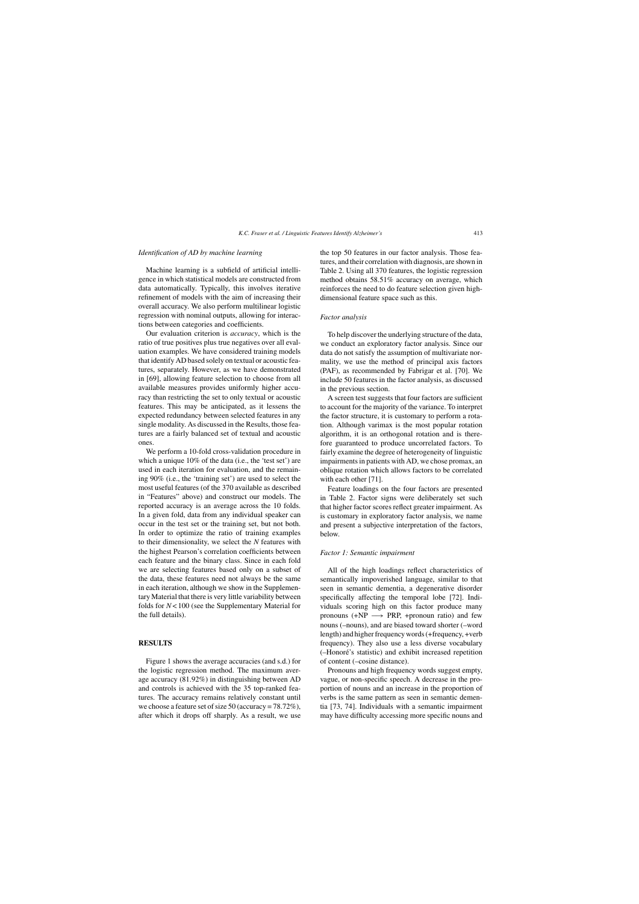## *Identification of AD by machine learning*

Machine learning is a subfield of artificial intelligence in which statistical models are constructed from data automatically. Typically, this involves iterative refinement of models with the aim of increasing their overall accuracy. We also perform multilinear logistic regression with nominal outputs, allowing for interactions between categories and coefficients.

Our evaluation criterion is *accuracy*, which is the ratio of true positives plus true negatives over all evaluation examples. We have considered training models that identify AD based solely on textual or acoustic features, separately. However, as we have demonstrated in [69], allowing feature selection to choose from all available measures provides uniformly higher accuracy than restricting the set to only textual or acoustic features. This may be anticipated, as it lessens the expected redundancy between selected features in any single modality. As discussed in the Results, those features are a fairly balanced set of textual and acoustic ones.

We perform a 10-fold cross-validation procedure in which a unique 10% of the data (i.e., the 'test set') are used in each iteration for evaluation, and the remaining 90% (i.e., the 'training set') are used to select the most useful features (of the 370 available as described in "Features" above) and construct our models. The reported accuracy is an average across the 10 folds. In a given fold, data from any individual speaker can occur in the test set or the training set, but not both. In order to optimize the ratio of training examples to their dimensionality, we select the *N* features with the highest Pearson's correlation coefficients between each feature and the binary class. Since in each fold we are selecting features based only on a subset of the data, these features need not always be the same in each iteration, although we show in the Supplementary Material that there is very little variability between folds for *N*< 100 (see the Supplementary Material for the full details).

# **RESULTS**

Figure 1 shows the average accuracies (and s.d.) for the logistic regression method. The maximum average accuracy (81.92%) in distinguishing between AD and controls is achieved with the 35 top-ranked features. The accuracy remains relatively constant until we choose a feature set of size 50 (accuracy = 78.72%), after which it drops off sharply. As a result, we use the top 50 features in our factor analysis. Those features, and their correlation with diagnosis, are shown in Table 2. Using all 370 features, the logistic regression method obtains 58.51% accuracy on average, which reinforces the need to do feature selection given highdimensional feature space such as this.

# *Factor analysis*

To help discover the underlying structure of the data, we conduct an exploratory factor analysis. Since our data do not satisfy the assumption of multivariate normality, we use the method of principal axis factors (PAF), as recommended by Fabrigar et al. [70]. We include 50 features in the factor analysis, as discussed in the previous section.

A screen test suggests that four factors are sufficient to account for the majority of the variance. To interpret the factor structure, it is customary to perform a rotation. Although varimax is the most popular rotation algorithm, it is an orthogonal rotation and is therefore guaranteed to produce uncorrelated factors. To fairly examine the degree of heterogeneity of linguistic impairments in patients with AD, we chose promax, an oblique rotation which allows factors to be correlated with each other [71].

Feature loadings on the four factors are presented in Table 2. Factor signs were deliberately set such that higher factor scores reflect greater impairment. As is customary in exploratory factor analysis, we name and present a subjective interpretation of the factors, below.

#### *Factor 1: Semantic impairment*

All of the high loadings reflect characteristics of semantically impoverished language, similar to that seen in semantic dementia, a degenerative disorder specifically affecting the temporal lobe [72]. Individuals scoring high on this factor produce many pronouns (+NP  $\longrightarrow$  PRP, +pronoun ratio) and few nouns (–nouns), and are biased toward shorter (–word length) and higher frequency words (+frequency, +verb frequency). They also use a less diverse vocabulary (-Honoré's statistic) and exhibit increased repetition of content (–cosine distance).

Pronouns and high frequency words suggest empty, vague, or non-specific speech. A decrease in the proportion of nouns and an increase in the proportion of verbs is the same pattern as seen in semantic dementia [73, 74]. Individuals with a semantic impairment may have difficulty accessing more specific nouns and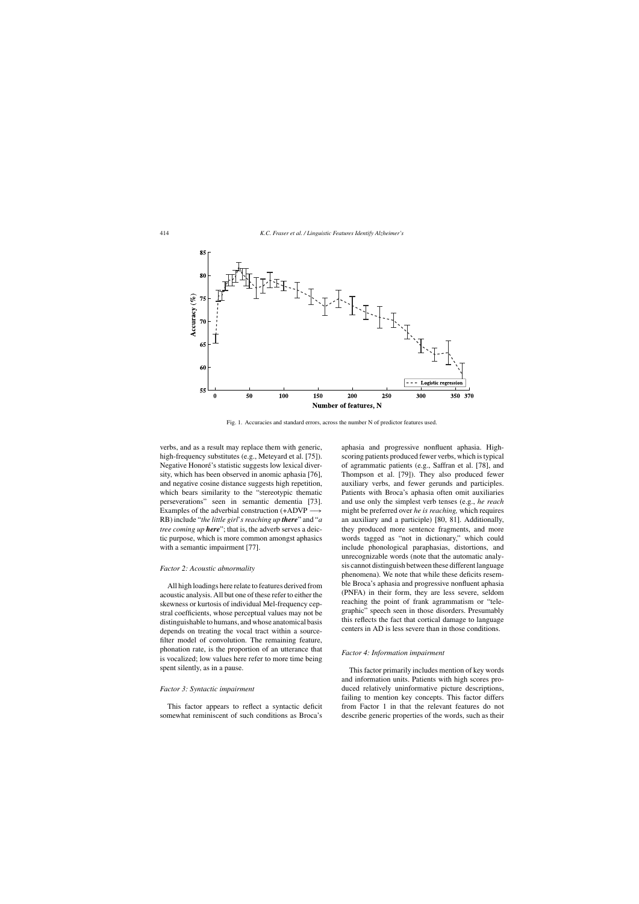

Fig. 1. Accuracies and standard errors, across the number N of predictor features used.

verbs, and as a result may replace them with generic, high-frequency substitutes (e.g., Meteyard et al. [75]). Negative Honoré's statistic suggests low lexical diversity, which has been observed in anomic aphasia [76], and negative cosine distance suggests high repetition, which bears similarity to the "stereotypic thematic perseverations" seen in semantic dementia [73]. Examples of the adverbial construction (+ADVP – RB) include "*the little girl*'*s reaching up there*" and "*a tree coming up here*"; that is, the adverb serves a deictic purpose, which is more common amongst aphasics with a semantic impairment [77].

#### *Factor 2: Acoustic abnormality*

All high loadings here relate to features derived from acoustic analysis. All but one of these refer to either the skewness or kurtosis of individual Mel-frequency cepstral coefficients, whose perceptual values may not be distinguishable to humans, and whose anatomical basis depends on treating the vocal tract within a sourcefilter model of convolution. The remaining feature, phonation rate, is the proportion of an utterance that is vocalized; low values here refer to more time being spent silently, as in a pause.

#### *Factor 3: Syntactic impairment*

This factor appears to reflect a syntactic deficit somewhat reminiscent of such conditions as Broca's

aphasia and progressive nonfluent aphasia. Highscoring patients produced fewer verbs, which is typical of agrammatic patients (e.g., Saffran et al. [78], and Thompson et al. [79]). They also produced fewer auxiliary verbs, and fewer gerunds and participles. Patients with Broca's aphasia often omit auxiliaries and use only the simplest verb tenses (e.g., *he reach* might be preferred over *he is reaching,* which requires an auxiliary and a participle) [80, 81]. Additionally, they produced more sentence fragments, and more words tagged as "not in dictionary," which could include phonological paraphasias, distortions, and unrecognizable words (note that the automatic analysis cannot distinguish between these different language phenomena). We note that while these deficits resemble Broca's aphasia and progressive nonfluent aphasia (PNFA) in their form, they are less severe, seldom reaching the point of frank agrammatism or "telegraphic" speech seen in those disorders. Presumably this reflects the fact that cortical damage to language centers in AD is less severe than in those conditions.

## *Factor 4: Information impairment*

This factor primarily includes mention of key words and information units. Patients with high scores produced relatively uninformative picture descriptions, failing to mention key concepts. This factor differs from Factor 1 in that the relevant features do not describe generic properties of the words, such as their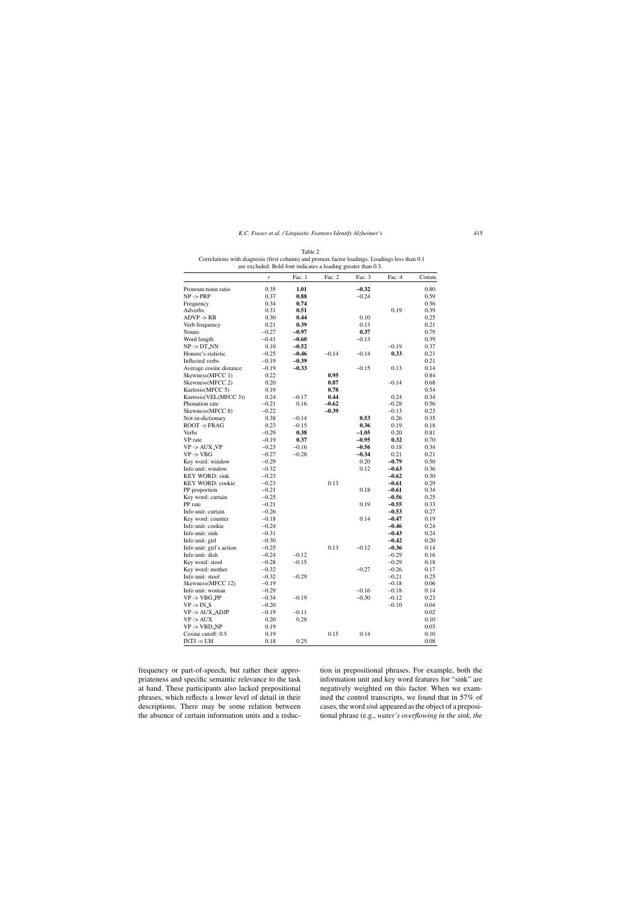|                                 | r       | Fac. 1  | Fac. 2  | Fac. 3  | Fac. 4             | Comm.        |
|---------------------------------|---------|---------|---------|---------|--------------------|--------------|
| Pronoun:noun ratio              | 0.35    | 1.01    |         | $-0.32$ |                    | 0.80         |
| $NP \rightarrow PRP$            | 0.37    | 0.88    |         | $-0.24$ |                    | 0.59         |
| Frequency                       | 0.34    | 0.74    |         |         |                    | 0.56         |
| Adverbs                         | 0.31    | 0.51    |         |         | 0.19               | 0.39         |
| $ADVP \rightarrow RB$           | 0.30    | 0.44    |         | 0.10    |                    | 0.25         |
| Verb frequency                  | 0.21    | 0.39    |         | 0.13    |                    | 0.21         |
| Nouns                           | $-0.27$ | $-0.97$ |         | 0.37    |                    | 0.79         |
| Word length                     | $-0.41$ | $-0.60$ |         | $-0.13$ |                    | 0.39         |
| $NP \rightarrow DT_NN$          | 0.10    | $-0.52$ |         |         | $-0.19$            | 0.37         |
| Honore's statistic              | $-0.25$ | $-0.46$ | $-0.14$ | $-0.14$ | 0.33               | 0.21         |
| Inflected verbs                 | $-0.19$ | $-0.39$ |         |         |                    | 0.21         |
| Average cosine distance         | $-0.19$ | $-0.33$ |         | $-0.15$ | 0.13               | 0.14         |
| Skewness(MFCC 1)                | 0.22    |         | 0.95    |         |                    | 0.84         |
| Skewness(MFCC 2)                | 0.20    |         | 0.87    |         | $-0.14$            | 0.68         |
| Kurtosis(MFCC 5)                | 0.19    |         | 0.78    |         |                    | 0.54         |
| Kurtosis(VEL(MFCC 3))           | 0.24    | $-0.17$ | 0.44    |         | 0.24               | 0.34         |
| Phonation rate                  | $-0.21$ | 0.16    | $-0.62$ |         | $-0.28$            | 0.56         |
| Skewness(MFCC 8)                | $-0.22$ |         | $-0.39$ |         | $-0.13$            | 0.23         |
| Not-in-dictionary               | 0.38    | $-0.14$ |         | 0.53    | 0.26               | 0.35         |
| ROOT -> FRAG                    | 0.23    | $-0.15$ |         | 0.36    | 0.19               | 0.18         |
| Verbs                           | $-0.29$ | 0.38    |         | $-1.05$ | 0.20               | 0.81         |
| VP rate                         | $-0.19$ | 0.37    |         | $-0.95$ | 0.32               | 0.70         |
| $VP$ -> $AUX$ <sub>-</sub> $VP$ | $-0.23$ | $-0.16$ |         | $-0.56$ | 0.18               | 0.34         |
| $VP \rightarrow VBG$            | $-0.27$ | $-0.28$ |         | $-0.34$ | 0.21               | 0.21         |
| Key word: window                | $-0.29$ |         |         | 0.20    | $-0.79$            | 0.50         |
| Info unit: window               | $-0.32$ |         |         | 0.12    | $-0.63$            | 0.36         |
| <b>KEY WORD: sink</b>           | $-0.23$ |         |         |         | $-0.62$            | 0.30         |
| <b>KEY WORD: cookie</b>         | $-0.23$ |         | 0.13    |         | $-0.61$            | 0.29         |
| PP proportion                   | $-0.21$ |         |         | 0.18    | $-0.61$            | 0.34         |
| Key word: curtain               | $-0.25$ |         |         |         | $-0.56$            | 0.25         |
| PP rate                         | $-0.21$ |         |         | 0.19    | $-0.55$            | 0.33         |
| Info unit: curtain              | $-0.26$ |         |         |         | $-0.53$            | 0.27         |
| Key word: counter               | $-0.18$ |         |         | 0.14    | $-0.47$            | 0.19         |
| Info unit: cookie               | $-0.24$ |         |         |         | $-0.46$            | 0.24         |
| Info unit: sink                 | $-0.31$ |         |         |         | $-0.43$            | 0.24         |
| Info unit: girl                 | $-0.30$ |         |         |         | $-0.42$            | 0.20         |
| Info unit: girl's action        | $-0.25$ |         | 0.13    | $-0.12$ | $-0.36$            | 0.14         |
| Info unit: dish                 | $-0.24$ | $-0.12$ |         |         | $-0.29$            | 0.16         |
| Key word: stool                 | $-0.28$ | $-0.15$ |         |         | $-0.29$            | 0.18         |
| Key word: mother                | $-0.32$ |         |         | $-0.27$ | $-0.26$            | 0.17         |
| Info unit: stool                |         |         |         |         |                    |              |
|                                 | $-0.32$ | $-0.29$ |         |         | $-0.21$<br>$-0.18$ | 0.25<br>0.06 |
| Skewness(MFCC 12)               | $-0.19$ |         |         |         |                    |              |
| Info unit: woman                | $-0.29$ |         |         | $-0.16$ | $-0.18$            | 0.14         |
| $VP \rightarrow VBG_PPP$        | $-0.34$ | $-0.19$ |         | $-0.30$ | $-0.12$            | 0.23         |
| $VP \rightarrow IN_S$           | $-0.20$ |         |         |         | $-0.10$            | 0.04         |
| <b>VP-&gt; AUX_ADJP</b>         | $-0.19$ | $-0.11$ |         |         |                    | 0.02         |
| $VP \rightarrow AUX$            | 0.20    | 0.28    |         |         |                    | 0.10         |
| VP -> VBD_NP                    | 0.19    |         |         |         |                    | 0.03         |
| Cosine cutoff: 0.5              | 0.19    |         | 0.15    | 0.14    |                    | 0.10         |
| INTJ -> UH                      | 0.18    | 0.25    |         |         |                    | 0.08         |

Table 2 Correlations with diagnosis (first column) and promax factor loadings. Loadings less than 0.1 are excluded. Bold font indicates a loading greater than 0.3.

frequency or part-of-speech, but rather their appropriateness and specific semantic relevance to the task at hand. These participants also lacked prepositional phrases, which reflects a lower level of detail in their descriptions. There may be some relation between the absence of certain information units and a reduction in prepositional phrases. For example, both the information unit and key word features for "sink" are negatively weighted on this factor. When we examined the control transcripts, we found that in 57% of cases, the word *sink* appeared as the object of a prepositional phrase (e.g., *water's overflowing in the sink, the*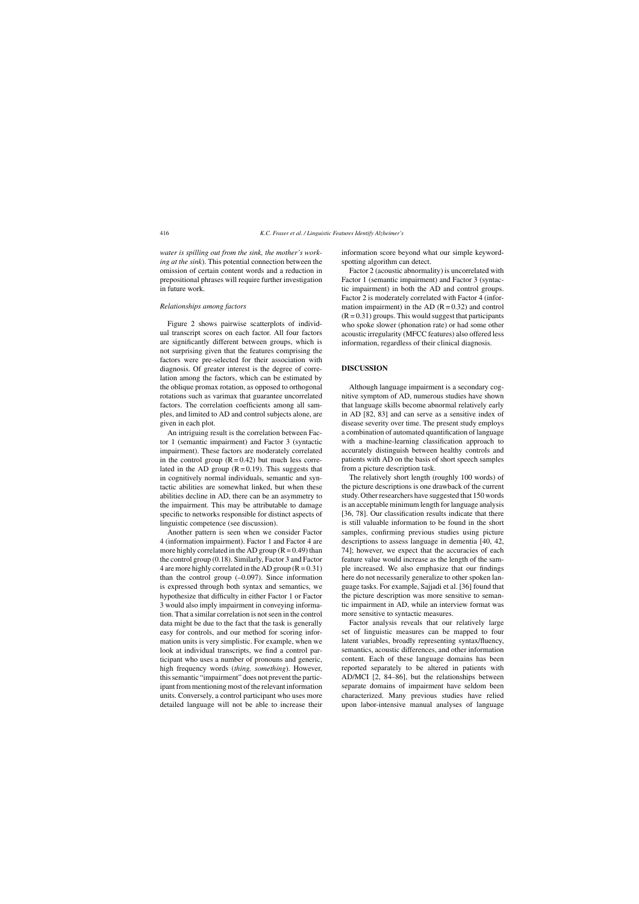*water is spilling out from the sink, the mother's working at the sink*). This potential connection between the omission of certain content words and a reduction in prepositional phrases will require further investigation in future work.

## *Relationships among factors*

Figure 2 shows pairwise scatterplots of individual transcript scores on each factor. All four factors are significantly different between groups, which is not surprising given that the features comprising the factors were pre-selected for their association with diagnosis. Of greater interest is the degree of correlation among the factors, which can be estimated by the oblique promax rotation, as opposed to orthogonal rotations such as varimax that guarantee uncorrelated factors. The correlation coefficients among all samples, and limited to AD and control subjects alone, are given in each plot.

An intriguing result is the correlation between Factor 1 (semantic impairment) and Factor 3 (syntactic impairment). These factors are moderately correlated in the control group  $(R = 0.42)$  but much less correlated in the AD group  $(R = 0.19)$ . This suggests that in cognitively normal individuals, semantic and syntactic abilities are somewhat linked, but when these abilities decline in AD, there can be an asymmetry to the impairment. This may be attributable to damage specific to networks responsible for distinct aspects of linguistic competence (see discussion).

Another pattern is seen when we consider Factor 4 (information impairment). Factor 1 and Factor 4 are more highly correlated in the AD group  $(R = 0.49)$  than the control group (0.18). Similarly, Factor 3 and Factor 4 are more highly correlated in the AD group  $(R = 0.31)$ than the control group  $(-0.097)$ . Since information is expressed through both syntax and semantics, we hypothesize that difficulty in either Factor 1 or Factor 3 would also imply impairment in conveying information. That a similar correlation is not seen in the control data might be due to the fact that the task is generally easy for controls, and our method for scoring information units is very simplistic. For example, when we look at individual transcripts, we find a control participant who uses a number of pronouns and generic, high frequency words (*thing, something*). However, this semantic "impairment" does not prevent the participant from mentioning most of the relevant information units. Conversely, a control participant who uses more detailed language will not be able to increase their

information score beyond what our simple keywordspotting algorithm can detect.

Factor 2 (acoustic abnormality) is uncorrelated with Factor 1 (semantic impairment) and Factor 3 (syntactic impairment) in both the AD and control groups. Factor 2 is moderately correlated with Factor 4 (information impairment) in the AD  $(R = 0.32)$  and control  $(R = 0.31)$  groups. This would suggest that participants who spoke slower (phonation rate) or had some other acoustic irregularity (MFCC features) also offered less information, regardless of their clinical diagnosis.

# **DISCUSSION**

Although language impairment is a secondary cognitive symptom of AD, numerous studies have shown that language skills become abnormal relatively early in AD [82, 83] and can serve as a sensitive index of disease severity over time. The present study employs a combination of automated quantification of language with a machine-learning classification approach to accurately distinguish between healthy controls and patients with AD on the basis of short speech samples from a picture description task.

The relatively short length (roughly 100 words) of the picture descriptions is one drawback of the current study. Other researchers have suggested that 150 words is an acceptable minimum length for language analysis [36, 78]. Our classification results indicate that there is still valuable information to be found in the short samples, confirming previous studies using picture descriptions to assess language in dementia [40, 42, 74]; however, we expect that the accuracies of each feature value would increase as the length of the sample increased. We also emphasize that our findings here do not necessarily generalize to other spoken language tasks. For example, Sajjadi et al. [36] found that the picture description was more sensitive to semantic impairment in AD, while an interview format was more sensitive to syntactic measures.

Factor analysis reveals that our relatively large set of linguistic measures can be mapped to four latent variables, broadly representing syntax/fluency, semantics, acoustic differences, and other information content. Each of these language domains has been reported separately to be altered in patients with AD/MCI [2, 84–86], but the relationships between separate domains of impairment have seldom been characterized. Many previous studies have relied upon labor-intensive manual analyses of language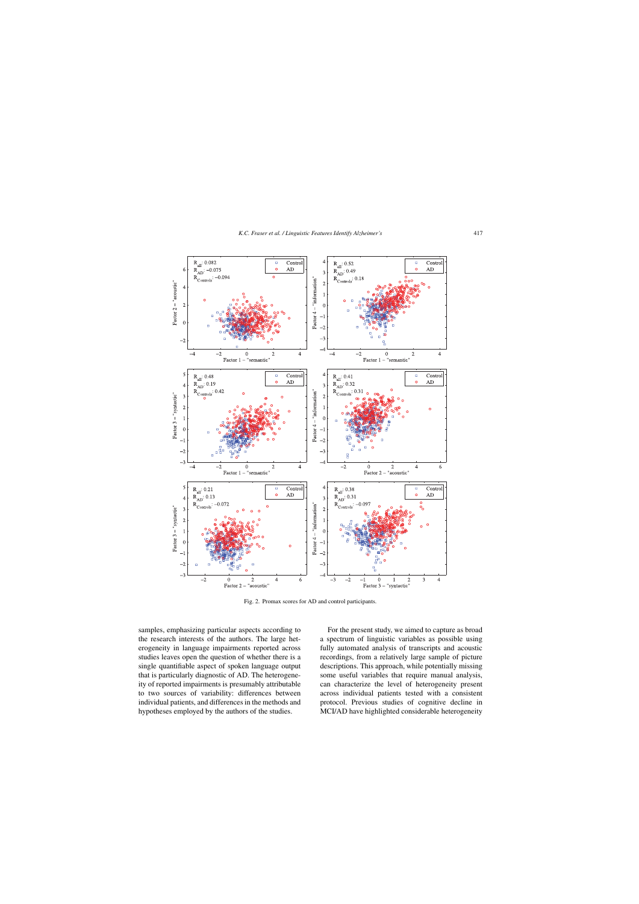

Fig. 2. Promax scores for AD and control participants.

samples, emphasizing particular aspects according to the research interests of the authors. The large heterogeneity in language impairments reported across studies leaves open the question of whether there is a single quantifiable aspect of spoken language output that is particularly diagnostic of AD. The heterogeneity of reported impairments is presumably attributable to two sources of variability: differences between individual patients, and differences in the methods and hypotheses employed by the authors of the studies.

For the present study, we aimed to capture as broad a spectrum of linguistic variables as possible using fully automated analysis of transcripts and acoustic recordings, from a relatively large sample of picture descriptions. This approach, while potentially missing some useful variables that require manual analysis, can characterize the level of heterogeneity present across individual patients tested with a consistent protocol. Previous studies of cognitive decline in MCI/AD have highlighted considerable heterogeneity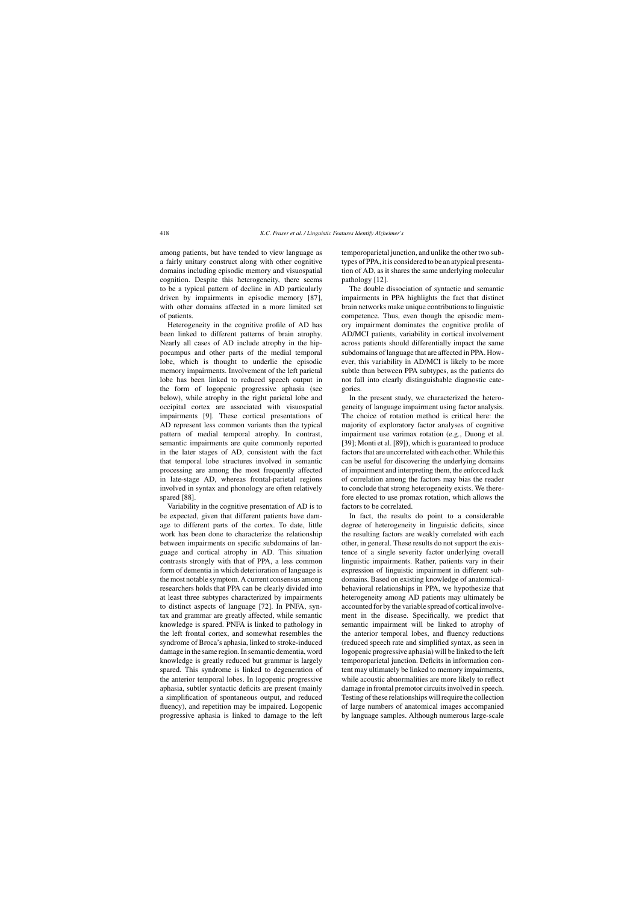among patients, but have tended to view language as a fairly unitary construct along with other cognitive domains including episodic memory and visuospatial cognition. Despite this heterogeneity, there seems to be a typical pattern of decline in AD particularly driven by impairments in episodic memory [87], with other domains affected in a more limited set of patients.

Heterogeneity in the cognitive profile of AD has been linked to different patterns of brain atrophy. Nearly all cases of AD include atrophy in the hippocampus and other parts of the medial temporal lobe, which is thought to underlie the episodic memory impairments. Involvement of the left parietal lobe has been linked to reduced speech output in the form of logopenic progressive aphasia (see below), while atrophy in the right parietal lobe and occipital cortex are associated with visuospatial impairments [9]. These cortical presentations of AD represent less common variants than the typical pattern of medial temporal atrophy. In contrast, semantic impairments are quite commonly reported in the later stages of AD, consistent with the fact that temporal lobe structures involved in semantic processing are among the most frequently affected in late-stage AD, whereas frontal-parietal regions involved in syntax and phonology are often relatively spared [88].

Variability in the cognitive presentation of AD is to be expected, given that different patients have damage to different parts of the cortex. To date, little work has been done to characterize the relationship between impairments on specific subdomains of language and cortical atrophy in AD. This situation contrasts strongly with that of PPA, a less common form of dementia in which deterioration of language is the most notable symptom. A current consensus among researchers holds that PPA can be clearly divided into at least three subtypes characterized by impairments to distinct aspects of language [72]. In PNFA, syntax and grammar are greatly affected, while semantic knowledge is spared. PNFA is linked to pathology in the left frontal cortex, and somewhat resembles the syndrome of Broca's aphasia, linked to stroke-induced damage in the same region. In semantic dementia, word knowledge is greatly reduced but grammar is largely spared. This syndrome is linked to degeneration of the anterior temporal lobes. In logopenic progressive aphasia, subtler syntactic deficits are present (mainly a simplification of spontaneous output, and reduced fluency), and repetition may be impaired. Logopenic progressive aphasia is linked to damage to the left

temporoparietal junction, and unlike the other two subtypes of PPA, it is considered to be an atypical presentation of AD, as it shares the same underlying molecular pathology [12].

The double dissociation of syntactic and semantic impairments in PPA highlights the fact that distinct brain networks make unique contributions to linguistic competence. Thus, even though the episodic memory impairment dominates the cognitive profile of AD/MCI patients, variability in cortical involvement across patients should differentially impact the same subdomains of language that are affected in PPA. However, this variability in AD/MCI is likely to be more subtle than between PPA subtypes, as the patients do not fall into clearly distinguishable diagnostic categories.

In the present study, we characterized the heterogeneity of language impairment using factor analysis. The choice of rotation method is critical here: the majority of exploratory factor analyses of cognitive impairment use varimax rotation (e.g., Duong et al. [39]; Monti et al. [89]), which is guaranteed to produce factors that are uncorrelated with each other. While this can be useful for discovering the underlying domains of impairment and interpreting them, the enforced lack of correlation among the factors may bias the reader to conclude that strong heterogeneity exists. We therefore elected to use promax rotation, which allows the factors to be correlated.

In fact, the results do point to a considerable degree of heterogeneity in linguistic deficits, since the resulting factors are weakly correlated with each other, in general. These results do not support the existence of a single severity factor underlying overall linguistic impairments. Rather, patients vary in their expression of linguistic impairment in different subdomains. Based on existing knowledge of anatomicalbehavioral relationships in PPA, we hypothesize that heterogeneity among AD patients may ultimately be accounted for by the variable spread of cortical involvement in the disease. Specifically, we predict that semantic impairment will be linked to atrophy of the anterior temporal lobes, and fluency reductions (reduced speech rate and simplified syntax, as seen in logopenic progressive aphasia) will be linked to the left temporoparietal junction. Deficits in information content may ultimately be linked to memory impairments, while acoustic abnormalities are more likely to reflect damage in frontal premotor circuits involved in speech. Testing of these relationships will require the collection of large numbers of anatomical images accompanied by language samples. Although numerous large-scale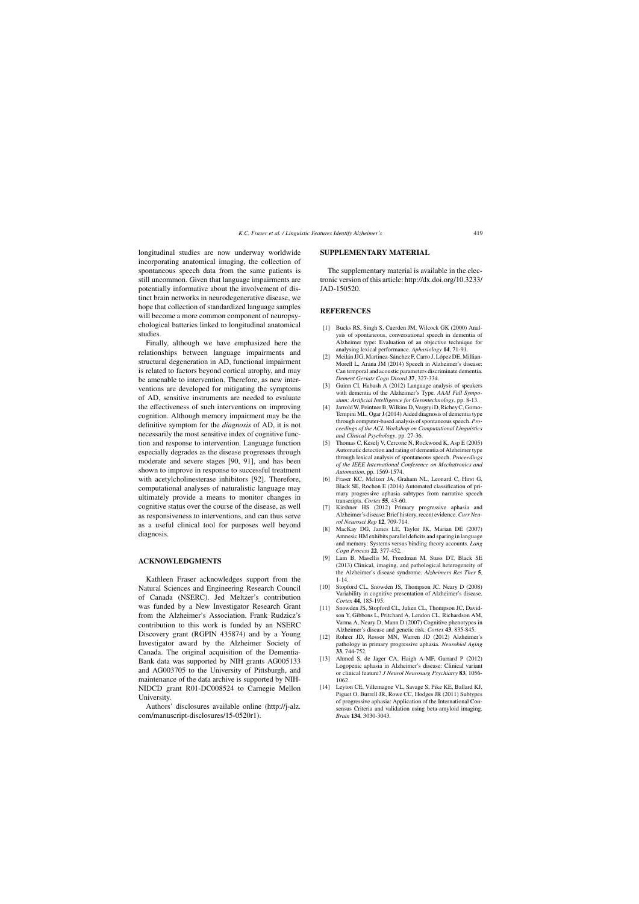longitudinal studies are now underway worldwide incorporating anatomical imaging, the collection of spontaneous speech data from the same patients is still uncommon. Given that language impairments are potentially informative about the involvement of distinct brain networks in neurodegenerative disease, we hope that collection of standardized language samples will become a more common component of neuropsychological batteries linked to longitudinal anatomical studies.

Finally, although we have emphasized here the relationships between language impairments and structural degeneration in AD, functional impairment is related to factors beyond cortical atrophy, and may be amenable to intervention. Therefore, as new interventions are developed for mitigating the symptoms of AD, sensitive instruments are needed to evaluate the effectiveness of such interventions on improving cognition. Although memory impairment may be the definitive symptom for the *diagnosis* of AD, it is not necessarily the most sensitive index of cognitive function and response to intervention. Language function especially degrades as the disease progresses through moderate and severe stages [90, 91], and has been shown to improve in response to successful treatment with acetylcholinesterase inhibitors [92]. Therefore, computational analyses of naturalistic language may ultimately provide a means to monitor changes in cognitive status over the course of the disease, as well as responsiveness to interventions, and can thus serve as a useful clinical tool for purposes well beyond diagnosis.

#### **ACKNOWLEDGMENTS**

Kathleen Fraser acknowledges support from the Natural Sciences and Engineering Research Council of Canada (NSERC). Jed Meltzer's contribution was funded by a New Investigator Research Grant from the Alzheimer's Association. Frank Rudzicz's contribution to this work is funded by an NSERC Discovery grant (RGPIN 435874) and by a Young Investigator award by the Alzheimer Society of Canada. The original acquisition of the Dementia-Bank data was supported by NIH grants AG005133 and AG003705 to the University of Pittsburgh, and maintenance of the data archive is supported by NIH-NIDCD grant R01-DC008524 to Carnegie Mellon University.

Authors' disclosures available online (http://j-alz. com/manuscript-disclosures/15-0520r1).

#### **SUPPLEMENTARY MATERIAL**

The supplementary material is available in the electronic version of this article: [http://dx.doi.org/10.3233/](http://dx.doi.org/10.3233/JAD-150520) [JAD-150520](http://dx.doi.org/10.3233/JAD-150520).

## **REFERENCES**

- [1] Bucks RS, Singh S, Cuerden JM, Wilcock GK (2000) Analysis of spontaneous, conversational speech in dementia of Alzheimer type: Evaluation of an objective technique for analysing lexical performance. *Aphasiology* **14**, 71-91.
- [2] Meilán JJG, Martinez-Sánchez F, Carro J, López DE, Millian-Morell L, Arana JM (2014) Speech in Alzheimer's disease: Can temporal and acoustic parameters discriminate dementia. *Dement Geriatr Cogn Disord* **37**, 327-334.
- [3] Guinn CI, Habash A (2012) Language analysis of speakers with dementia of the Alzheimer's Type. *AAAI Fall Symposium: Artificial Intelligence for Gerontechnology*, pp. 8-13.
- [4] Jarrold W, Peintner B, Wilkins D, Vergryi D, Richey C, Gorno-Tempini ML, Ogar J (2014) Aided diagnosis of dementia type through computer-based analysis of spontaneous speech. *Proceedings of the ACL Workshop on Computational Linguistics and Clinical Psychology*, pp. 27-36.
- [5] Thomas C, Keselj V, Cercone N, Rockwood K, Asp E (2005) Automatic detection and rating of dementia of Alzheimer type through lexical analysis of spontaneous speech. *Proceedings of the IEEE International Conference on Mechatronics and Automation*, pp. 1569-1574.
- [6] Fraser KC, Meltzer JA, Graham NL, Leonard C, Hirst G, Black SE, Rochon E (2014) Automated classification of primary progressive aphasia subtypes from narrative speech transcripts. *Cortex* **55**, 43-60.
- [7] Kirshner HS (2012) Primary progressive aphasia and Alzheimer's disease: Brief history, recent evidence.*Curr Neurol Neurosci Rep* **12**, 709-714.
- [8] MacKay DG, James LE, Taylor JK, Marian DE (2007) Amnesic HM exhibits parallel deficits and sparing in language and memory: Systems versus binding theory accounts. *Lang Cogn Process* **22**, 377-452.
- [9] Lam B, Masellis M, Freedman M, Stuss DT, Black SE (2013) Clinical, imaging, and pathological heterogeneity of the Alzheimer's disease syndrome. *Alzheimers Res Ther* **5**, 1-14.
- [10] Stopford CL, Snowden JS, Thompson JC, Neary D (2008) Variability in cognitive presentation of Alzheimer's disease. *Cortex* **44**, 185-195.
- [11] Snowden JS, Stopford CL, Julien CL, Thompson JC, Davidson Y, Gibbons L, Pritchard A, Lendon CL, Richardson AM, Varma A, Neary D, Mann D (2007) Cognitive phenotypes in Alzheimer's disease and genetic risk. *Cortex* **43**, 835-845.
- [12] Rohrer JD, Rossor MN, Warren JD (2012) Alzheimer's pathology in primary progressive aphasia. *Neurobiol Aging* **33**, 744-752.
- [13] Ahmed S, de Jager CA, Haigh A-MF, Garrard P (2012) Logopenic aphasia in Alzheimer's disease: Clinical variant or clinical feature? *J Neurol Neurosurg Psychiatry* **83**, 1056- 1062.
- [14] Leyton CE, Villemagne VL, Savage S, Pike KE, Ballard KJ, Piguet O, Burrell JR, Rowe CC, Hodges JR (2011) Subtypes of progressive aphasia: Application of the International Con[sensus](http://j-alz.com/manuscript-disclosures/15-0520r1) [Criteria](http://j-alz.com/manuscript-disclosures/15-0520r1) [and](http://j-alz.com/manuscript-disclosures/15-0520r1) [validation](http://j-alz.com/manuscript-disclosures/15-0520r1) [usin](http://j-alz.com/manuscript-disclosures/15-0520r1)g beta-amyloid imaging. *Brain* **134**, 3030-3043.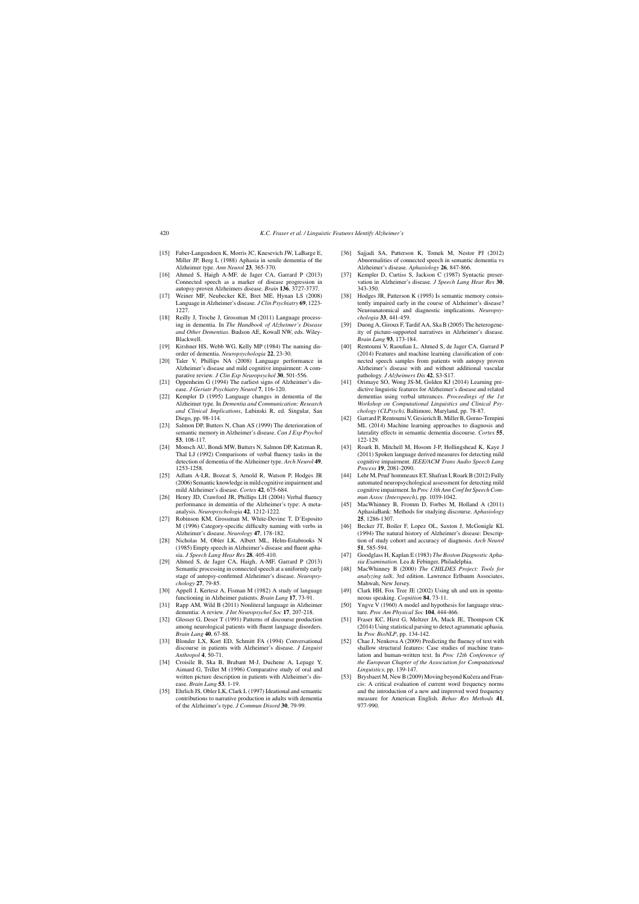- [15] Faber-Langendoen K, Morris JC, Knesevich JW, LaBarge E, Miller JP, Berg L (1988) Aphasia in senile dementia of the Alzheimer type. *Ann Neurol* **23**, 365-370.
- [16] Ahmed S, Haigh A-MF, de Jager CA, Garrard P (2013) Connected speech as a marker of disease progression in autopsy-proven Alzheimers disease. *Brain* **136**, 3727-3737.
- [17] Weiner MF, Neubecker KE, Bret ME, Hynan LS (2008) Language in Alzheimer's disease. *J Clin Psychiatry* **69**, 1223- 1227
- [18] Reilly J, Troche J, Grossman M (2011) Language processing in dementia. In *The Handbook of Alzheimer's Disease and Other Dementias*. Budson AE, Kowall NW, eds. Wiley-Blackwell.
- [19] Kirshner HS, Webb WG, Kelly MP (1984) The naming disorder of dementia. *Neuropsychologia* **22**, 23-30.
- [20] Taler V, Phillips NA (2008) Language performance in Alzheimer's disease and mild cognitive impairment: A comparative review. *J Clin Exp Neuropsychol* **30**, 501-556.
- [21] Oppenheim G (1994) The earliest signs of Alzheimer's disease. *J Geriatr Psychiatry Neurol* **7**, 116-120.
- [22] Kempler D (1995) Language changes in dementia of the Alzheimer type. In *Dementia and Communication: Research and Clinical Implications*, Lubinski R, ed. Singular, San Diego, pp. 98-114.
- [23] Salmon DP, Butters N, Chan AS (1999) The deterioration of semantic memory in Alzheimer's disease. *Can J Exp Psychol* **53**, 108-117.
- [24] Monsch AU, Bondi MW, Butters N, Salmon DP, Katzman R, Thal LJ (1992) Comparisons of verbal fluency tasks in the detection of dementia of the Alzheimer type. *Arch Neurol* **49**, 1253-1258.
- [25] Adlam A-LR, Bozeat S, Arnold R, Watson P, Hodges JR (2006) Semantic knowledge in mild cognitive impairment and mild Alzheimer's disease. *Cortex* **42**, 675-684.
- [26] Henry JD, Crawford JR, Phillips LH (2004) Verbal fluency performance in dementia of the Alzheimer's type: A metaanalysis. *Neuropsychologia* **42**, 1212-1222.
- [27] Robinson KM, Grossman M, White-Devine T, D'Esposito M (1996) Category-specific difficulty naming with verbs in Alzheimer's disease. *Neurology* **47**, 178-182.
- [28] Nicholas M, Obler LK, Albert ML, Helm-Estabrooks N (1985) Empty speech in Alzheimer's disease and fluent aphasia. *J Speech Lang Hear Res* **28**, 405-410.
- [29] Ahmed S, de Jager CA, Haigh, A-MF, Garrard P (2013) Semantic processing in connected speech at a uniformly early stage of autopsy-confirmed Alzheimer's disease. *Neuropsychology* **27**, 79-85.
- [30] Appell J, Kertesz A, Fisman M (1982) A study of language functioning in Alzheimer patients. *Brain Lang* **17**, 73-91.
- [31] Rapp AM, Wild B (2011) Nonliteral language in Alzheimer dementia: A review. *J Int Neuropsychol Soc* **17**, 207-218.
- [32] Glosser G, Deser T (1991) Patterns of discourse production among neurological patients with fluent language disorders. *Brain Lang* **40**, 67-88.
- [33] Blonder LX, Kort ED, Schmitt FA (1994) Conversational discourse in patients with Alzheimer's disease. *J Linguist Anthropol* **4**, 50-71.
- [34] Croisile B, Ska B, Brabant M-J, Duchene A, Lepage Y, Aimard G, Trillet M (1996) Comparative study of oral and written picture description in patients with Alzheimer's disease. *Brain Lang* **53**, 1-19.
- [35] Ehrlich JS, Obler LK, Clark L (1997) Ideational and semantic contributions to narrative production in adults with dementia of the Alzheimer's type. *J Commun Disord* **30**, 79-99.
- [36] Sajjadi SA, Patterson K, Tomek M, Nestor PJ (2012) Abnormalities of connected speech in semantic dementia vs Alzheimer's disease. *Aphasiology* **26**, 847-866.
- [37] Kempler D, Curtiss S, Jackson C (1987) Syntactic preservation in Alzheimer's disease. *J Speech Lang Hear Res* **30**, 343-350.
- [38] Hodges JR, Patterson K (1995) Is semantic memory consistently impaired early in the course of Alzheimer's disease? Neuroanatomical and diagnostic implications. *Neuropsychologia* **33**, 441-459.
- [39] Duong A, Giroux F, Tardif AA, Ska B (2005) The heterogeneity of picture-supported narratives in Alzheimer's disease. *Brain Lang* **93**, 173-184.
- [40] Rentoumi V, Raoufian L, Ahmed S, de Jager CA, Garrard P (2014) Features and machine learning classification of connected speech samples from patients with autopsy proven Alzheimer's disease with and without additional vascular pathology. *J Alzheimers Dis* **42**, S3-S17.
- [41] Orimaye SO, Wong JS-M, Golden KJ (2014) Learning predictive linguistic features for Alzheimer's disease and related dementias using verbal utterances. *Proceedings of the 1st Workshop on Computational Linguistics and Clinical Psychology (CLPsych)*, Baltimore, Maryland, pp. 78-87.
- [42] Garrard P, Rentoumi V, Gesierich B, Miller B, Gorno-Tempini ML (2014) Machine learning approaches to diagnosis and laterality effects in semantic dementia discourse. *Cortex* **55**, 122-129.
- [43] Roark B, Mitchell M, Hosom J-P, Hollingshead K, Kaye J (2011) Spoken language derived measures for detecting mild cognitive impairment. *IEEE/ACM Trans Audio Speech Lang Process* **19**, 2081-2090.
- [44] Lehr M, Prud'hommeaux ET, Shafran I, Roark B (2012) Fully automated neuropsychological assessment for detecting mild cognitive impairment. In *Proc 13th Ann Conf Int Speech Commun Assoc (Interspeech)*, pp. 1039-1042.
- [45] MacWhinney B, Fromm D, Forbes M, Holland A (2011) AphasiaBank: Methods for studying discourse. *Aphasiology* **25**, 1286-1307.
- [46] Becker JT, Boiler F, Lopez OL, Saxton J, McGonigle KL (1994) The natural history of Alzheimer's disease: Description of study cohort and accuracy of diagnosis. *Arch Neurol* **51**, 585-594.
- [47] Goodglass H, Kaplan E (1983) *The Boston Diagnostic Aphasia Examination*. Lea & Febinger, Philadelphia.
- [48] MacWhinney B (2000) *The CHILDES Project: Tools for analyzing talk*, 3rd edition. Lawrence Erlbaum Associates, Mahwah, New Jersey.
- [49] Clark HH, Fox Tree JE (2002) Using uh and um in spontaneous speaking. *Cognition* **84**, 73-11.
- [50] Yngve V (1960) A model and hypothesis for language structure. *Proc Am Physical Soc* **104**, 444-466.
- [51] Fraser KC, Hirst G, Meltzer JA, Mack JE, Thompson CK (2014) Using statistical parsing to detect agrammatic aphasia. In *Proc BioNLP*, pp. 134-142.
- [52] Chae J, Nenkova A (2009) Predicting the fluency of text with shallow structural features: Case studies of machine translation and human-written text. In *Proc 12th Conference of the European Chapter of the Association for Computational Linguistics*, pp. 139-147.
- [53] Brysbaert M, New B (2009) Moving beyond Kučera and Francis: A critical evaluation of current word frequency norms and the introduction of a new and improved word frequency measure for American English. *Behav Res Methods* **41**, 977-990.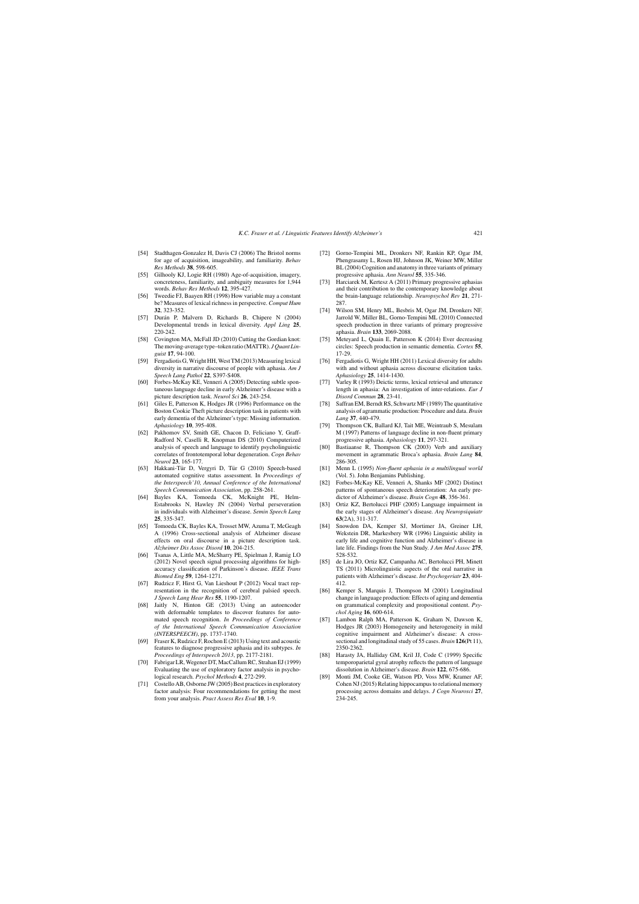- [54] Stadthagen-Gonzalez H, Davis CJ (2006) The Bristol norms for age of acquisition, imageability, and familiarity. *Behav Res Methods* **38**, 598-605.
- [55] Gilhooly KJ, Logie RH (1980) Age-of-acquisition, imagery, concreteness, familiarity, and ambiguity measures for 1,944 words. *Behav Res Methods* **12**, 395-427.
- [56] Tweedie FJ, Baayen RH (1998) How variable may a constant be? Measures of lexical richness in perspective. *Comput Hum* **32**, 323-352.
- [57] Durán P, Malvern D, Richards B, Chipere N (2004) Developmental trends in lexical diversity. *Appl Ling* **25**, 220-242.
- [58] Covington MA, McFall JD (2010) Cutting the Gordian knot: The moving-average type–token ratio (MATTR). *J Quant Linguist* **17**, 94-100.
- [59] Fergadiotis G, Wright HH, West TM (2013) Measuring lexical diversity in narrative discourse of people with aphasia. *Am J Speech Lang Pathol* **22**, S397-S408.
- [60] Forbes-McKay KE, Venneri A (2005) Detecting subtle spontaneous language decline in early Alzheimer's disease with a picture description task. *Neurol Sci* **26**, 243-254.
- [61] Giles E, Patterson K, Hodges JR (1996) Performance on the Boston Cookie Theft picture description task in patients with early dementia of the Alzheimer's type: Missing information. *Aphasiology* **10**, 395-408.
- [62] Pakhomov SV, Smith GE, Chacon D, Feliciano Y, Graff-Radford N, Caselli R, Knopman DS (2010) Computerized analysis of speech and language to identify psycholinguistic correlates of frontotemporal lobar degeneration. *Cogn Behav Neurol* **23**, 165-177.
- [63] Hakkani-Tür D, Vergyri D, Tür G (2010) Speech-based automated cognitive status assessment. In *Proceedings of the Interspeech'10, Annual Conference of the International Speech Communication Association*, pp. 258-261.
- [64] Bayles KA, Tomoeda CK, McKnight PE, Helm-Estabrooks N, Hawley JN (2004) Verbal perseveration in individuals with Alzheimer's disease. *Semin Speech Lang* **25**, 335-347.
- [65] Tomoeda CK, Bayles KA, Trosset MW, Azuma T, McGeagh A (1996) Cross-sectional analysis of Alzheimer disease effects on oral discourse in a picture description task. *Alzheimer Dis Assoc Disord* **10**, 204-215.
- [66] Tsanas A, Little MA, McSharry PE, Spielman J, Ramig LO (2012) Novel speech signal processing algorithms for highaccuracy classification of Parkinson's disease. *IEEE Trans Biomed Eng* **59**, 1264-1271.
- [67] Rudzicz F, Hirst G, Van Lieshout P (2012) Vocal tract representation in the recognition of cerebral palsied speech. *J Speech Lang Hear Res* **55**, 1190-1207.
- [68] Jaitly N, Hinton GE (2013) Using an autoencoder with deformable templates to discover features for automated speech recognition. *In Proceedings of Conference of the International Speech Communication Association (INTERSPEECH)*, pp. 1737-1740.
- [69] Fraser K, Rudzicz F, Rochon E (2013) Using text and acoustic features to diagnose progressive aphasia and its subtypes. *In Proceedings of Interspeech 2013*, pp. 2177-2181.
- [70] Fabrigar LR, Wegener DT, MacCallum RC, Strahan EJ (1999) Evaluating the use of exploratory factor analysis in psychological research. *Psychol Methods* **4**, 272-299.
- [71] Costello AB, Osborne JW (2005) Best practices in exploratory factor analysis: Four recommendations for getting the most from your analysis. *Pract Assess Res Eval* **10**, 1-9.
- [72] Gorno-Tempini ML, Dronkers NF, Rankin KP, Ogar JM, Phengrasamy L, Rosen HJ, Johnson JK, Weiner MW, Miller BL (2004) Cognition and anatomy in three variants of primary progressive aphasia. *Ann Neurol* **55**, 335-346.
- [73] Harciarek M, Kertesz A (2011) Primary progressive aphasias and their contribution to the contemporary knowledge about the brain-language relationship. *Neuropsychol Rev* **21**, 271- 287
- [74] Wilson SM, Henry ML, Besbris M, Ogar JM, Dronkers NF, Jarrold W, Miller BL, Gorno-Tempini ML (2010) Connected speech production in three variants of primary progressive aphasia. *Brain* **133**, 2069-2088.
- [75] Meteyard L, Quain E, Patterson K (2014) Ever decreasing circles: Speech production in semantic dementia. *Cortex* **55**, 17-29.
- [76] Fergadiotis G, Wright HH (2011) Lexical diversity for adults with and without aphasia across discourse elicitation tasks. *Aphasiology* **25**, 1414-1430.
- [77] Varley R (1993) Deictic terms, lexical retrieval and utterance length in aphasia: An investigation of inter-relations. *Eur J Disord Commun* **28**, 23-41.
- [78] Saffran EM, Berndt RS, Schwartz MF (1989) The quantitative analysis of agrammatic production: Procedure and data. *Brain Lang* **37**, 440-479.
- [79] Thompson CK, Ballard KJ, Tait ME, Weintraub S, Mesulam M (1997) Patterns of language decline in non-fluent primary progressive aphasia. *Aphasiology* **11**, 297-321.
- [80] Bastiaanse R, Thompson CK (2003) Verb and auxiliary movement in agrammatic Broca's aphasia. *Brain Lang* **84**, 286-305.
- [81] Menn L (1995) *Non-fluent aphasia in a multilingual world* (Vol. 5). John Benjamins Publishing.
- [82] Forbes-McKay KE, Venneri A, Shanks MF (2002) Distinct patterns of spontaneous speech deterioration: An early predictor of Alzheimer's disease. *Brain Cogn* **48**, 356-361.
- [83] Ortiz KZ, Bertolucci PHF (2005) Language impairment in the early stages of Alzheimer's disease. *Arq Neuropsiquiatr* **63**(2A), 311-317.
- [84] Snowdon DA, Kemper SJ, Mortimer JA, Greiner LH, Wekstein DR, Markesbery WR (1996) Linguistic ability in early life and cognitive function and Alzheimer's disease in late life. Findings from the Nun Study. *J Am Med Assoc* **275**, 528-532.
- [85] de Lira JO, Ortiz KZ, Campanha AC, Bertolucci PH, Minett TS (2011) Microlinguistic aspects of the oral narrative in patients with Alzheimer's disease. *Int Psychogeriatr* **23**, 404- 412.
- [86] Kemper S, Marquis J, Thompson M (2001) Longitudinal change in language production: Effects of aging and dementia on grammatical complexity and propositional content. *Psychol Aging* **16**, 600-614.
- [87] Lambon Ralph MA, Patterson K, Graham N, Dawson K, Hodges JR (2003) Homogeneity and heterogeneity in mild cognitive impairment and Alzheimer's disease: A crosssectional and longitudinal study of 55 cases. *Brain* **126**(Pt 11), 2350-2362.
- [88] Harasty JA, Halliday GM, Kril JJ, Code C (1999) Specific temporoparietal gyral atrophy reflects the pattern of language dissolution in Alzheimer's disease. *Brain* **122**, 675-686.
- [89] Monti JM, Cooke GE, Watson PD, Voss MW, Kramer AF, Cohen NJ (2015) Relating hippocampus to relational memory processing across domains and delays. *J Cogn Neurosci* **27**, 234-245.